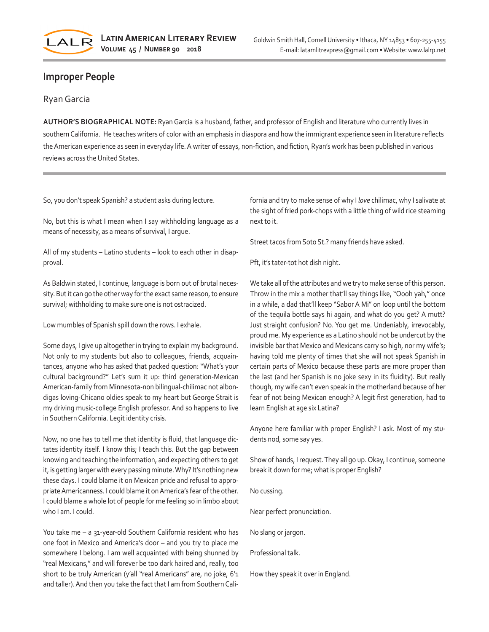

## **Improper People**

## Ryan Garcia

**AUTHOR'S BIOGRAPHICAL NOTE:** Ryan Garcia is a husband, father, and professor of English and literature who currently lives in southern California. He teaches writers of color with an emphasis in diaspora and how the immigrant experience seen in literature reflects the American experience as seen in everyday life. A writer of essays, non-fiction, and fiction, Ryan's work has been published in various reviews across the United States.

So, you don't speak Spanish? a student asks during lecture.

No, but this is what I mean when I say withholding language as a means of necessity, as a means of survival, I argue.

All of my students – Latino students – look to each other in disapproval.

As Baldwin stated, I continue, language is born out of brutal necessity. But it can go the other way for the exact same reason, to ensure survival; withholding to make sure one is not ostracized.

Low mumbles of Spanish spill down the rows. I exhale.

Some days, I give up altogether in trying to explain my background. Not only to my students but also to colleagues, friends, acquaintances, anyone who has asked that packed question: "What's your cultural background?" Let's sum it up: third generation-Mexican American-family from Minnesota-non bilingual-chilimac not albondigas loving-Chicano oldies speak to my heart but George Strait is my driving music-college English professor. And so happens to live in Southern California. Legit identity crisis.

Now, no one has to tell me that identity is fluid, that language dictates identity itself. I know this; I teach this. But the gap between knowing and teaching the information, and expecting others to get it, is getting larger with every passing minute. Why? It's nothing new these days. I could blame it on Mexican pride and refusal to appropriate Americanness. I could blame it on America's fear of the other. I could blame a whole lot of people for me feeling so in limbo about who I am. I could.

You take me – a 31-year-old Southern California resident who has one foot in Mexico and America's door – and you try to place me somewhere I belong. I am well acquainted with being shunned by "real Mexicans," and will forever be too dark haired and, really, too short to be truly American (y'all "real Americans" are, no joke, 6'1 and taller). And then you take the fact that I am from Southern California and try to make sense of why I *love* chilimac, why I salivate at the sight of fried pork-chops with a little thing of wild rice steaming next to it.

Street tacos from Soto St.? many friends have asked.

Pft, it's tater-tot hot dish night.

We take all of the attributes and we try to make sense of this person. Throw in the mix a mother that'll say things like, "Oooh yah," once in a while, a dad that'll keep "Sabor A Mi" on loop until the bottom of the tequila bottle says hi again, and what do you get? A mutt? Just straight confusion? No. You get me. Undeniably, irrevocably, proud me. My experience as a Latino should not be undercut by the invisible bar that Mexico and Mexicans carry so high, nor my wife's; having told me plenty of times that she will not speak Spanish in certain parts of Mexico because these parts are more proper than the last (and her Spanish is no joke sexy in its fluidity). But really though, my wife can't even speak in the motherland because of her fear of not being Mexican enough? A legit first generation, had to learn English at age six Latina?

Anyone here familiar with proper English? I ask. Most of my students nod, some say yes.

Show of hands, I request. They all go up. Okay, I continue, someone break it down for me; what is proper English?

No cussing.

Near perfect pronunciation.

No slang or jargon.

Professional talk.

How they speak it over in England.